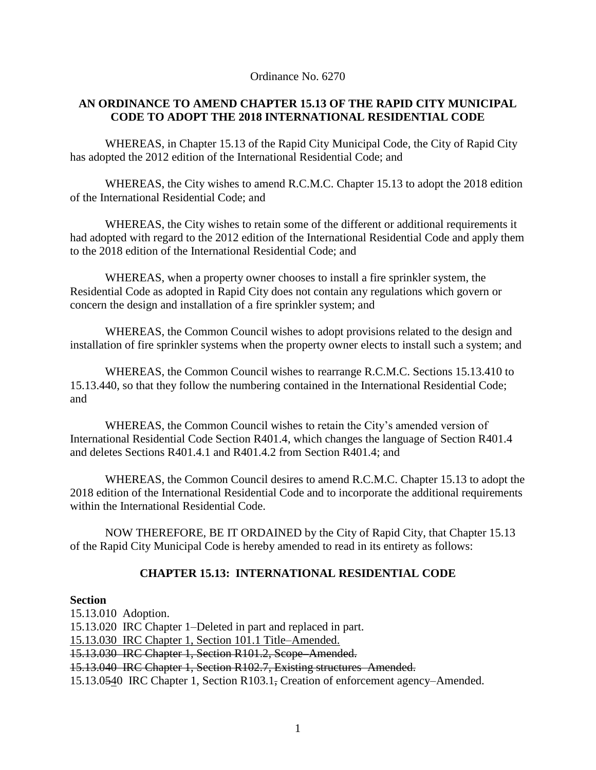Ordinance No. 6270

## **AN ORDINANCE TO AMEND CHAPTER 15.13 OF THE RAPID CITY MUNICIPAL CODE TO ADOPT THE 2018 INTERNATIONAL RESIDENTIAL CODE**

WHEREAS, in Chapter 15.13 of the Rapid City Municipal Code, the City of Rapid City has adopted the 2012 edition of the International Residential Code; and

WHEREAS, the City wishes to amend R.C.M.C. Chapter 15.13 to adopt the 2018 edition of the International Residential Code; and

WHEREAS, the City wishes to retain some of the different or additional requirements it had adopted with regard to the 2012 edition of the International Residential Code and apply them to the 2018 edition of the International Residential Code; and

WHEREAS, when a property owner chooses to install a fire sprinkler system, the Residential Code as adopted in Rapid City does not contain any regulations which govern or concern the design and installation of a fire sprinkler system; and

WHEREAS, the Common Council wishes to adopt provisions related to the design and installation of fire sprinkler systems when the property owner elects to install such a system; and

WHEREAS, the Common Council wishes to rearrange R.C.M.C. Sections 15.13.410 to 15.13.440, so that they follow the numbering contained in the International Residential Code; and

WHEREAS, the Common Council wishes to retain the City's amended version of International Residential Code Section R401.4, which changes the language of Section R401.4 and deletes Sections R401.4.1 and R401.4.2 from Section R401.4; and

WHEREAS, the Common Council desires to amend R.C.M.C. Chapter 15.13 to adopt the 2018 edition of the International Residential Code and to incorporate the additional requirements within the International Residential Code.

NOW THEREFORE, BE IT ORDAINED by the City of Rapid City, that Chapter 15.13 of the Rapid City Municipal Code is hereby amended to read in its entirety as follows:

## **CHAPTER 15.13: INTERNATIONAL RESIDENTIAL CODE**

### **Section**

15.13.010 Adoption. 15.13.020 IRC Chapter 1–Deleted in part and replaced in part. 15.13.030 IRC Chapter 1, Section 101.1 Title–Amended. 15.13.030 IRC Chapter 1, Section R101.2, Scope–Amended. 15.13.040 IRC Chapter 1, Section R102.7, Existing structures–Amended. 15.13.0540 IRC Chapter 1, Section R103.1, Creation of enforcement agency–Amended.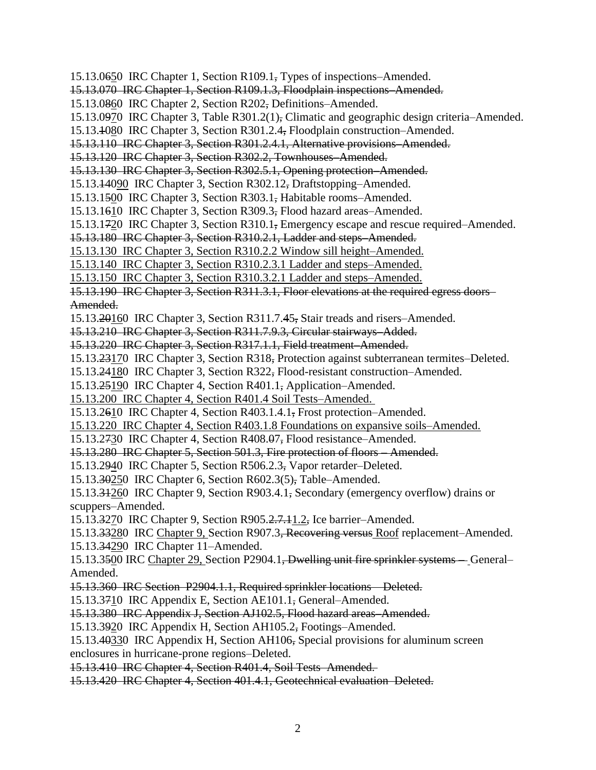15.13.0650 IRC Chapter 1, Section R109.1, Types of inspections–Amended. 15.13.070 IRC Chapter 1, Section R109.1.3, Floodplain inspections–Amended. 15.13.0860 IRC Chapter 2, Section R202, Definitions–Amended. 15.13.0970 IRC Chapter 3, Table R301.2(1), Climatic and geographic design criteria–Amended. 15.13.1080 IRC Chapter 3, Section R301.2.4, Floodplain construction–Amended. 15.13.110 IRC Chapter 3, Section R301.2.4.1, Alternative provisions–Amended. 15.13.120 IRC Chapter 3, Section R302.2, Townhouses–Amended. 15.13.130 IRC Chapter 3, Section R302.5.1, Opening protection–Amended. 15.13.14090 IRC Chapter 3, Section R302.12, Draftstopping–Amended. 15.13.1500 IRC Chapter 3, Section R303.1, Habitable rooms–Amended. 15.13.1610 IRC Chapter 3, Section R309.3, Flood hazard areas–Amended. 15.13.1720 IRC Chapter 3, Section R310.1, Emergency escape and rescue required–Amended. 15.13.180 IRC Chapter 3, Section R310.2.1, Ladder and steps–Amended. 15.13.130 IRC Chapter 3, Section R310.2.2 Window sill height–Amended. 15.13.140 IRC Chapter 3, Section R310.2.3.1 Ladder and steps–Amended. 15.13.150 IRC Chapter 3, Section R310.3.2.1 Ladder and steps–Amended. 15.13.190 IRC Chapter 3, Section R311.3.1, Floor elevations at the required egress doors– Amended. 15.13.20160 IRC Chapter 3, Section R311.7.45, Stair treads and risers–Amended. 15.13.210 IRC Chapter 3, Section R311.7.9.3, Circular stairways–Added. 15.13.220 IRC Chapter 3, Section R317.1.1, Field treatment–Amended. 15.13.23170 IRC Chapter 3, Section R318, Protection against subterranean termites–Deleted. 15.13.24180 IRC Chapter 3, Section R322, Flood-resistant construction–Amended. 15.13.25190 IRC Chapter 4, Section R401.1, Application–Amended. 15.13.200 IRC Chapter 4, Section R401.4 Soil Tests–Amended. 15.13.2610 IRC Chapter 4, Section R403.1.4.1, Frost protection–Amended. 15.13.220 IRC Chapter 4, Section R403.1.8 Foundations on expansive soils–Amended. 15.13.2730 IRC Chapter 4, Section R408.07, Flood resistance–Amended. 15.13.280 IRC Chapter 5, Section 501.3, Fire protection of floors – Amended. 15.13.2940 IRC Chapter 5, Section R506.2.3, Vapor retarder–Deleted. 15.13.30250 IRC Chapter 6, Section R602.3(5), Table–Amended. 15.13.31260 IRC Chapter 9, Section R903.4.1, Secondary (emergency overflow) drains or scuppers–Amended. 15.13.3270 IRC Chapter 9, Section R905.2.7.11.2, Ice barrier–Amended. 15.13.33280 IRC Chapter 9, Section R907.3, Recovering versus Roof replacement–Amended. 15.13.34290 IRC Chapter 11–Amended. 15.13.3500 IRC Chapter 29, Section P2904.1, Dwelling unit fire sprinkler systems – General– Amended. 15.13.360 IRC Section P2904.1.1, Required sprinkler locations – Deleted. 15.13.3710 IRC Appendix E, Section AE101.1, General–Amended. 15.13.380 IRC Appendix J, Section AJ102.5, Flood hazard areas–Amended. 15.13.3920 IRC Appendix H, Section AH105.2, Footings–Amended. 15.13.40330 IRC Appendix H, Section AH106, Special provisions for aluminum screen enclosures in hurricane-prone regions–Deleted. 15.13.410 IRC Chapter 4, Section R401.4, Soil Tests–Amended. 15.13.420 IRC Chapter 4, Section 401.4.1, Geotechnical evaluation–Deleted.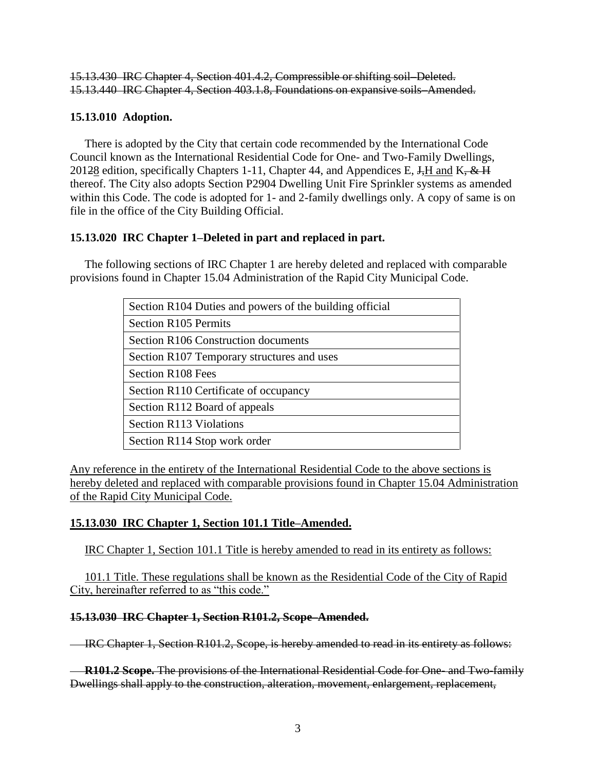15.13.430 IRC Chapter 4, Section 401.4.2, Compressible or shifting soil–Deleted. 15.13.440 IRC Chapter 4, Section 403.1.8, Foundations on expansive soils–Amended.

## **15.13.010 Adoption.**

 There is adopted by the City that certain code recommended by the International Code Council known as the International Residential Code for One- and Two-Family Dwellings, 20128 edition, specifically Chapters 1-11, Chapter 44, and Appendices E,  $J<sub>z</sub>H$  and K,  $\&$  H thereof. The City also adopts Section P2904 Dwelling Unit Fire Sprinkler systems as amended within this Code. The code is adopted for 1- and 2-family dwellings only. A copy of same is on file in the office of the City Building Official.

## **15.13.020 IRC Chapter 1–Deleted in part and replaced in part.**

 The following sections of IRC Chapter 1 are hereby deleted and replaced with comparable provisions found in Chapter 15.04 Administration of the Rapid City Municipal Code.

| Section R104 Duties and powers of the building official |  |  |  |  |  |  |
|---------------------------------------------------------|--|--|--|--|--|--|
| <b>Section R105 Permits</b>                             |  |  |  |  |  |  |
| Section R106 Construction documents                     |  |  |  |  |  |  |
| Section R107 Temporary structures and uses              |  |  |  |  |  |  |
| Section R108 Fees                                       |  |  |  |  |  |  |
| Section R110 Certificate of occupancy                   |  |  |  |  |  |  |
| Section R112 Board of appeals                           |  |  |  |  |  |  |
| <b>Section R113 Violations</b>                          |  |  |  |  |  |  |
| Section R114 Stop work order                            |  |  |  |  |  |  |

Any reference in the entirety of the International Residential Code to the above sections is hereby deleted and replaced with comparable provisions found in Chapter 15.04 Administration of the Rapid City Municipal Code.

## **15.13.030 IRC Chapter 1, Section 101.1 Title–Amended.**

IRC Chapter 1, Section 101.1 Title is hereby amended to read in its entirety as follows:

 101.1 Title. These regulations shall be known as the Residential Code of the City of Rapid City, hereinafter referred to as "this code."

#### **15.13.030 IRC Chapter 1, Section R101.2, Scope–Amended.**

IRC Chapter 1, Section R101.2, Scope, is hereby amended to read in its entirety as follows:

 **R101.2 Scope.** The provisions of the International Residential Code for One- and Two-family Dwellings shall apply to the construction, alteration, movement, enlargement, replacement,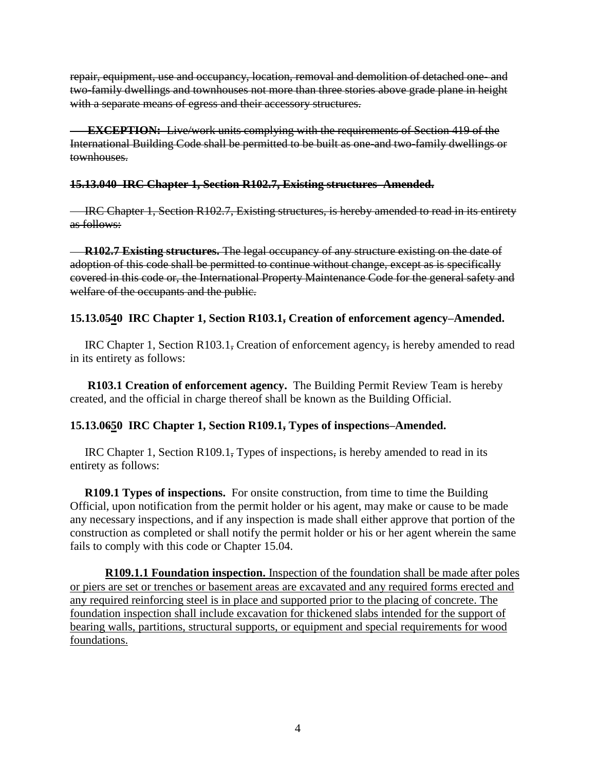repair, equipment, use and occupancy, location, removal and demolition of detached one- and two-family dwellings and townhouses not more than three stories above grade plane in height with a separate means of egress and their accessory structures.

**EXCEPTION:** Live/work units complying with the requirements of Section 419 of the International Building Code shall be permitted to be built as one-and two-family dwellings or townhouses.

## **15.13.040 IRC Chapter 1, Section R102.7, Existing structures–Amended.**

**IRC Chapter 1, Section R102.7, Existing structures, is hereby amended to read in its entirety** as follows:

 **R102.7 Existing structures.** The legal occupancy of any structure existing on the date of adoption of this code shall be permitted to continue without change, except as is specifically covered in this code or, the International Property Maintenance Code for the general safety and welfare of the occupants and the public.

## **15.13.0540 IRC Chapter 1, Section R103.1, Creation of enforcement agency–Amended.**

 IRC Chapter 1, Section R103.1, Creation of enforcement agency, is hereby amended to read in its entirety as follows:

**R103.1 Creation of enforcement agency.** The Building Permit Review Team is hereby created, and the official in charge thereof shall be known as the Building Official.

## **15.13.0650 IRC Chapter 1, Section R109.1, Types of inspections–Amended.**

 IRC Chapter 1, Section R109.1, Types of inspections, is hereby amended to read in its entirety as follows:

 **R109.1 Types of inspections.** For onsite construction, from time to time the Building Official, upon notification from the permit holder or his agent, may make or cause to be made any necessary inspections, and if any inspection is made shall either approve that portion of the construction as completed or shall notify the permit holder or his or her agent wherein the same fails to comply with this code or Chapter 15.04.

**R109.1.1 Foundation inspection.** Inspection of the foundation shall be made after poles or piers are set or trenches or basement areas are excavated and any required forms erected and any required reinforcing steel is in place and supported prior to the placing of concrete. The foundation inspection shall include excavation for thickened slabs intended for the support of bearing walls, partitions, structural supports, or equipment and special requirements for wood foundations.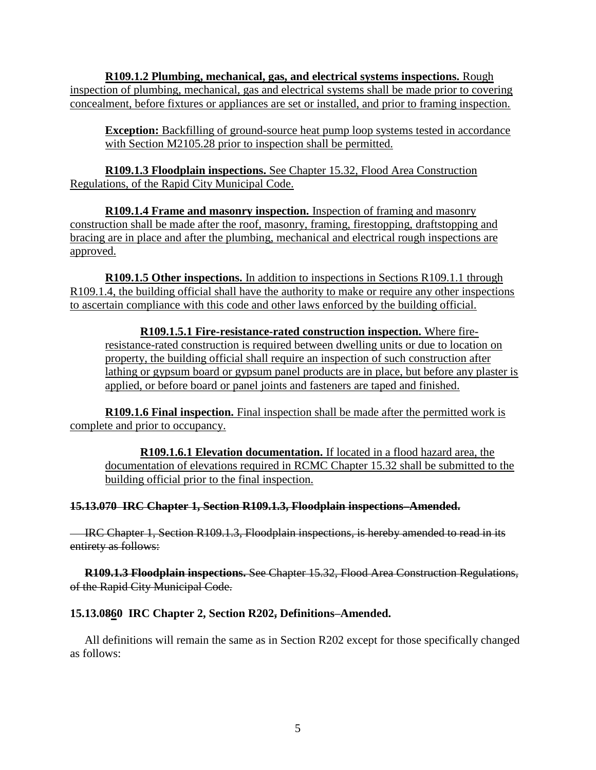**R109.1.2 Plumbing, mechanical, gas, and electrical systems inspections.** Rough inspection of plumbing, mechanical, gas and electrical systems shall be made prior to covering concealment, before fixtures or appliances are set or installed, and prior to framing inspection.

**Exception:** Backfilling of ground-source heat pump loop systems tested in accordance with Section M2105.28 prior to inspection shall be permitted.

**R109.1.3 Floodplain inspections.** See Chapter 15.32, Flood Area Construction Regulations, of the Rapid City Municipal Code.

**R109.1.4 Frame and masonry inspection.** Inspection of framing and masonry construction shall be made after the roof, masonry, framing, firestopping, draftstopping and bracing are in place and after the plumbing, mechanical and electrical rough inspections are approved.

**R109.1.5 Other inspections.** In addition to inspections in Sections R109.1.1 through R109.1.4, the building official shall have the authority to make or require any other inspections to ascertain compliance with this code and other laws enforced by the building official.

**R109.1.5.1 Fire-resistance-rated construction inspection.** Where fireresistance-rated construction is required between dwelling units or due to location on property, the building official shall require an inspection of such construction after lathing or gypsum board or gypsum panel products are in place, but before any plaster is applied, or before board or panel joints and fasteners are taped and finished.

**R109.1.6 Final inspection.** Final inspection shall be made after the permitted work is complete and prior to occupancy.

**R109.1.6.1 Elevation documentation.** If located in a flood hazard area, the documentation of elevations required in RCMC Chapter 15.32 shall be submitted to the building official prior to the final inspection.

## **15.13.070 IRC Chapter 1, Section R109.1.3, Floodplain inspections–Amended.**

 IRC Chapter 1, Section R109.1.3, Floodplain inspections, is hereby amended to read in its entirety as follows:

 **R109.1.3 Floodplain inspections.** See Chapter 15.32, Flood Area Construction Regulations, of the Rapid City Municipal Code.

#### **15.13.0860 IRC Chapter 2, Section R202, Definitions–Amended.**

 All definitions will remain the same as in Section R202 except for those specifically changed as follows: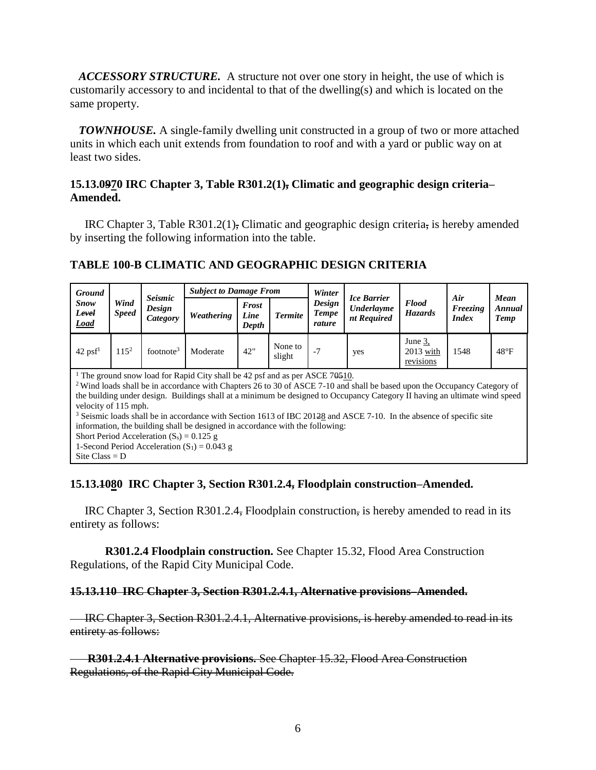*ACCESSORY STRUCTURE.* A structure not over one story in height, the use of which is customarily accessory to and incidental to that of the dwelling(s) and which is located on the same property.

 *TOWNHOUSE.* A single-family dwelling unit constructed in a group of two or more attached units in which each unit extends from foundation to roof and with a yard or public way on at least two sides.

## **15.13.0970 IRC Chapter 3, Table R301.2(1), Climatic and geographic design criteria– Amended.**

 IRC Chapter 3, Table R301.2(1), Climatic and geographic design criteria, is hereby amended by inserting the following information into the table.

# **TABLE 100-B CLIMATIC AND GEOGRAPHIC DESIGN CRITERIA**

| <b>Ground</b><br><b>Snow</b><br>Level<br><b>Load</b>                                                                                                                                                                                                                                                                                                                                                                                                                                                                                                                                                                                                                                                                            | Wind<br><b>Speed</b> | <b>Seismic</b><br>Design<br>Category | <b>Subject to Damage From</b> |                               |                   | Winter                           | <b>Ice Barrier</b>               |                                     | Air                      | Mean                  |  |
|---------------------------------------------------------------------------------------------------------------------------------------------------------------------------------------------------------------------------------------------------------------------------------------------------------------------------------------------------------------------------------------------------------------------------------------------------------------------------------------------------------------------------------------------------------------------------------------------------------------------------------------------------------------------------------------------------------------------------------|----------------------|--------------------------------------|-------------------------------|-------------------------------|-------------------|----------------------------------|----------------------------------|-------------------------------------|--------------------------|-----------------------|--|
|                                                                                                                                                                                                                                                                                                                                                                                                                                                                                                                                                                                                                                                                                                                                 |                      |                                      | Weathering                    | <b>Frost</b><br>Line<br>Depth | <b>Termite</b>    | Design<br><b>Tempe</b><br>rature | <b>Underlayme</b><br>nt Required | <b>Flood</b><br><b>Hazards</b>      | Freezing<br><i>Index</i> | Annual<br><b>Temp</b> |  |
| $42 \text{ psf}^1$                                                                                                                                                                                                                                                                                                                                                                                                                                                                                                                                                                                                                                                                                                              | $115^2$              | footnote <sup>3</sup>                | Moderate                      | 42"                           | None to<br>slight | $-7$                             | yes                              | June 3.<br>$2013$ with<br>revisions | 1548                     | $48^{\circ}F$         |  |
| <sup>1</sup> The ground snow load for Rapid City shall be 42 psf and as per ASCE 70-510.<br><sup>2</sup> Wind loads shall be in accordance with Chapters 26 to 30 of ASCE 7-10 and shall be based upon the Occupancy Category of<br>the building under design. Buildings shall at a minimum be designed to Occupancy Category II having an ultimate wind speed<br>velocity of 115 mph.<br><sup>3</sup> Seismic loads shall be in accordance with Section 1613 of IBC 20128 and ASCE 7-10. In the absence of specific site<br>information, the building shall be designed in accordance with the following:<br>Short Period Acceleration $(S_s) = 0.125$ g<br>1-Second Period Acceleration $(S_1) = 0.043$ g<br>Site Class = $D$ |                      |                                      |                               |                               |                   |                                  |                                  |                                     |                          |                       |  |

#### **15.13.1080 IRC Chapter 3, Section R301.2.4, Floodplain construction–Amended.**

 IRC Chapter 3, Section R301.2.4, Floodplain construction, is hereby amended to read in its entirety as follows:

**R301.2.4 Floodplain construction.** See Chapter 15.32, Flood Area Construction Regulations, of the Rapid City Municipal Code.

#### **15.13.110 IRC Chapter 3, Section R301.2.4.1, Alternative provisions–Amended.**

IRC Chapter 3, Section R301.2.4.1, Alternative provisions, is hereby amended to read in its entirety as follows:

 **R301.2.4.1 Alternative provisions.** See Chapter 15.32, Flood Area Construction Regulations, of the Rapid City Municipal Code.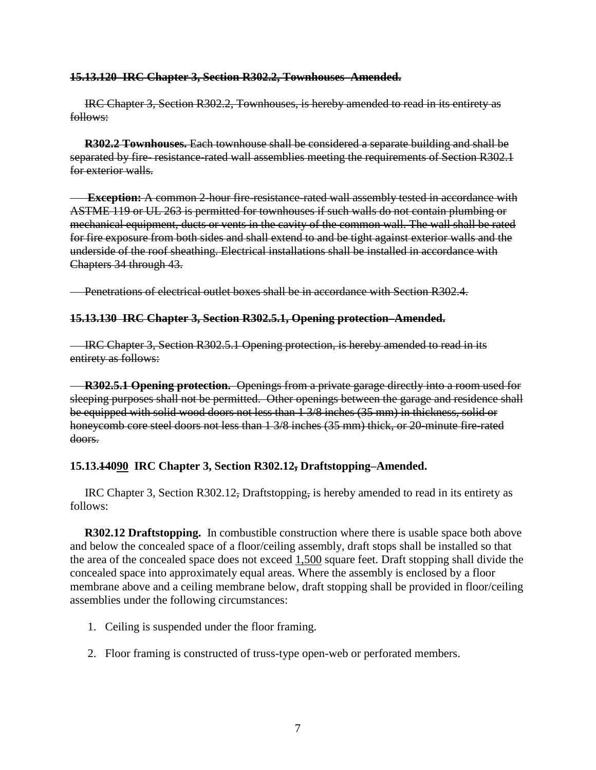#### **15.13.120 IRC Chapter 3, Section R302.2, Townhouses–Amended.**

 IRC Chapter 3, Section R302.2, Townhouses, is hereby amended to read in its entirety as follows:

 **R302.2 Townhouses.** Each townhouse shall be considered a separate building and shall be separated by fire-resistance-rated wall assemblies meeting the requirements of Section R302.1 for exterior walls.

**Exception:** A common 2-hour fire-resistance-rated wall assembly tested in accordance with ASTME 119 or UL 263 is permitted for townhouses if such walls do not contain plumbing or mechanical equipment, ducts or vents in the cavity of the common wall. The wall shall be rated for fire exposure from both sides and shall extend to and be tight against exterior walls and the underside of the roof sheathing. Electrical installations shall be installed in accordance with Chapters 34 through 43.

**Penetrations of electrical outlet boxes shall be in accordance with Section R302.4.** 

#### **15.13.130 IRC Chapter 3, Section R302.5.1, Opening protection–Amended.**

IRC Chapter 3, Section R302.5.1 Opening protection, is hereby amended to read in its entirety as follows:

 **R302.5.1 Opening protection.** Openings from a private garage directly into a room used for sleeping purposes shall not be permitted. Other openings between the garage and residence shall be equipped with solid wood doors not less than 1 3/8 inches (35 mm) in thickness, solid or honeycomb core steel doors not less than 1 3/8 inches (35 mm) thick, or 20-minute fire-rated doors.

#### **15.13.14090 IRC Chapter 3, Section R302.12, Draftstopping–Amended.**

 IRC Chapter 3, Section R302.12, Draftstopping, is hereby amended to read in its entirety as follows:

 **R302.12 Draftstopping.** In combustible construction where there is usable space both above and below the concealed space of a floor/ceiling assembly, draft stops shall be installed so that the area of the concealed space does not exceed  $1,500$  square feet. Draft stopping shall divide the concealed space into approximately equal areas. Where the assembly is enclosed by a floor membrane above and a ceiling membrane below, draft stopping shall be provided in floor/ceiling assemblies under the following circumstances:

- 1. Ceiling is suspended under the floor framing.
- 2. Floor framing is constructed of truss-type open-web or perforated members.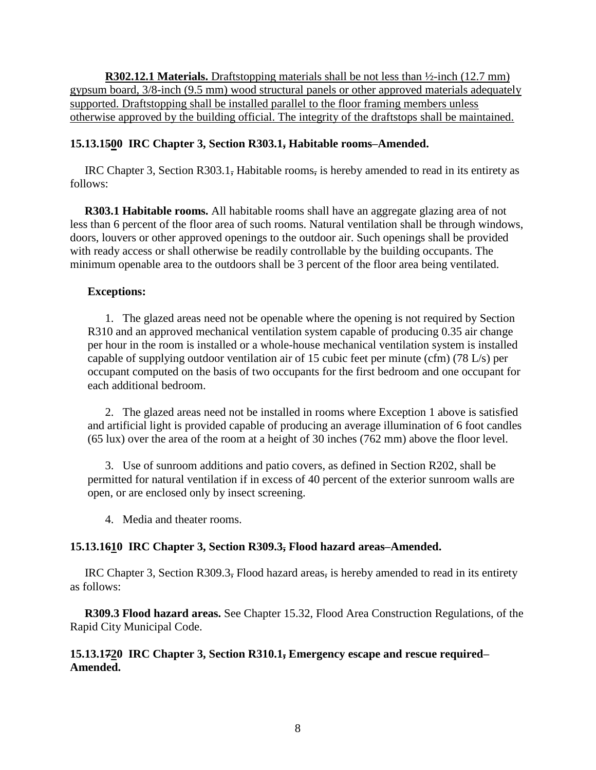**R302.12.1 Materials.** Draftstopping materials shall be not less than  $\frac{1}{2}$ -inch (12.7 mm) gypsum board, 3/8-inch (9.5 mm) wood structural panels or other approved materials adequately supported. Draftstopping shall be installed parallel to the floor framing members unless otherwise approved by the building official. The integrity of the draftstops shall be maintained.

## **15.13.1500 IRC Chapter 3, Section R303.1, Habitable rooms–Amended.**

 IRC Chapter 3, Section R303.1, Habitable rooms, is hereby amended to read in its entirety as follows:

 **R303.1 Habitable rooms.** All habitable rooms shall have an aggregate glazing area of not less than 6 percent of the floor area of such rooms. Natural ventilation shall be through windows, doors, louvers or other approved openings to the outdoor air. Such openings shall be provided with ready access or shall otherwise be readily controllable by the building occupants. The minimum openable area to the outdoors shall be 3 percent of the floor area being ventilated.

## **Exceptions:**

 1. The glazed areas need not be openable where the opening is not required by Section R310 and an approved mechanical ventilation system capable of producing 0.35 air change per hour in the room is installed or a whole-house mechanical ventilation system is installed capable of supplying outdoor ventilation air of 15 cubic feet per minute (cfm) (78 L/s) per occupant computed on the basis of two occupants for the first bedroom and one occupant for each additional bedroom.

 2. The glazed areas need not be installed in rooms where Exception 1 above is satisfied and artificial light is provided capable of producing an average illumination of 6 foot candles (65 lux) over the area of the room at a height of 30 inches (762 mm) above the floor level.

 3. Use of sunroom additions and patio covers, as defined in Section R202, shall be permitted for natural ventilation if in excess of 40 percent of the exterior sunroom walls are open, or are enclosed only by insect screening.

4. Media and theater rooms.

# **15.13.1610 IRC Chapter 3, Section R309.3, Flood hazard areas–Amended.**

 IRC Chapter 3, Section R309.3, Flood hazard areas, is hereby amended to read in its entirety as follows:

 **R309.3 Flood hazard areas.** See Chapter 15.32, Flood Area Construction Regulations, of the Rapid City Municipal Code.

## **15.13.1720 IRC Chapter 3, Section R310.1, Emergency escape and rescue required– Amended.**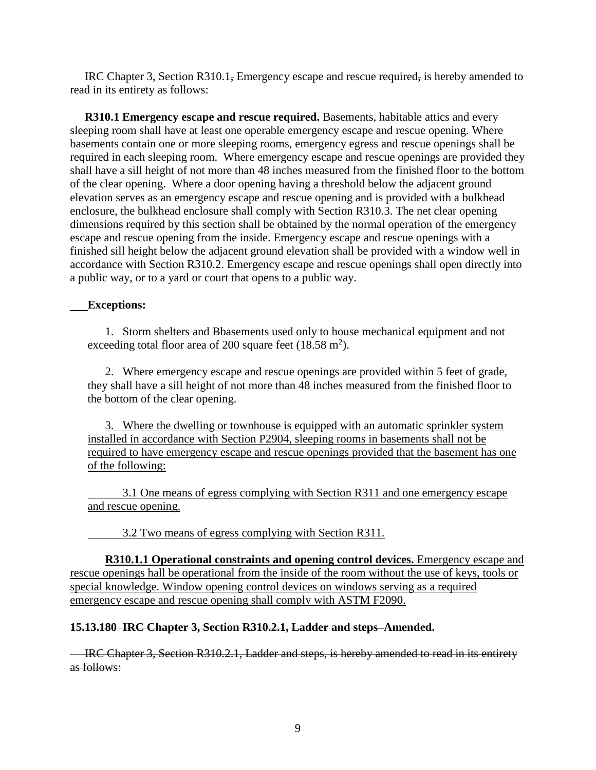IRC Chapter 3, Section R310.1, Emergency escape and rescue required, is hereby amended to read in its entirety as follows:

 **R310.1 Emergency escape and rescue required.** Basements, habitable attics and every sleeping room shall have at least one operable emergency escape and rescue opening. Where basements contain one or more sleeping rooms, emergency egress and rescue openings shall be required in each sleeping room. Where emergency escape and rescue openings are provided they shall have a sill height of not more than 48 inches measured from the finished floor to the bottom of the clear opening. Where a door opening having a threshold below the adjacent ground elevation serves as an emergency escape and rescue opening and is provided with a bulkhead enclosure, the bulkhead enclosure shall comply with Section R310.3. The net clear opening dimensions required by this section shall be obtained by the normal operation of the emergency escape and rescue opening from the inside. Emergency escape and rescue openings with a finished sill height below the adjacent ground elevation shall be provided with a window well in accordance with Section R310.2. Emergency escape and rescue openings shall open directly into a public way, or to a yard or court that opens to a public way.

## **Exceptions:**

1. Storm shelters and Bbasements used only to house mechanical equipment and not exceeding total floor area of 200 square feet  $(18.58 \text{ m}^2)$ .

2. Where emergency escape and rescue openings are provided within 5 feet of grade, they shall have a sill height of not more than 48 inches measured from the finished floor to the bottom of the clear opening.

3. Where the dwelling or townhouse is equipped with an automatic sprinkler system installed in accordance with Section P2904, sleeping rooms in basements shall not be required to have emergency escape and rescue openings provided that the basement has one of the following:

3.1 One means of egress complying with Section R311 and one emergency escape and rescue opening.

3.2 Two means of egress complying with Section R311.

**R310.1.1 Operational constraints and opening control devices.** Emergency escape and rescue openings hall be operational from the inside of the room without the use of keys, tools or special knowledge. Window opening control devices on windows serving as a required emergency escape and rescue opening shall comply with ASTM F2090.

#### **15.13.180 IRC Chapter 3, Section R310.2.1, Ladder and steps–Amended.**

IRC Chapter 3, Section R310.2.1, Ladder and steps, is hereby amended to read in its entirety as follows: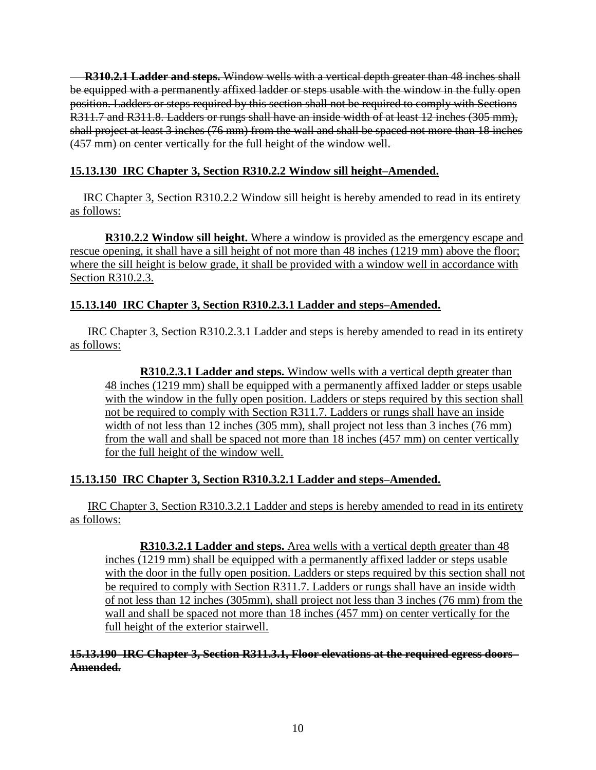**R310.2.1 Ladder and steps.** Window wells with a vertical depth greater than 48 inches shall be equipped with a permanently affixed ladder or steps usable with the window in the fully open position. Ladders or steps required by this section shall not be required to comply with Sections R311.7 and R311.8. Ladders or rungs shall have an inside width of at least 12 inches (305 mm), shall project at least 3 inches (76 mm) from the wall and shall be spaced not more than 18 inches (457 mm) on center vertically for the full height of the window well.

# **15.13.130 IRC Chapter 3, Section R310.2.2 Window sill height–Amended.**

IRC Chapter 3, Section R310.2.2 Window sill height is hereby amended to read in its entirety as follows:

**R310.2.2 Window sill height.** Where a window is provided as the emergency escape and rescue opening, it shall have a sill height of not more than 48 inches (1219 mm) above the floor; where the sill height is below grade, it shall be provided with a window well in accordance with Section R310.2.3.

# **15.13.140 IRC Chapter 3, Section R310.2.3.1 Ladder and steps–Amended.**

IRC Chapter 3, Section R310.2.3.1 Ladder and steps is hereby amended to read in its entirety as follows:

**R310.2.3.1 Ladder and steps.** Window wells with a vertical depth greater than 48 inches (1219 mm) shall be equipped with a permanently affixed ladder or steps usable with the window in the fully open position. Ladders or steps required by this section shall not be required to comply with Section R311.7. Ladders or rungs shall have an inside width of not less than 12 inches (305 mm), shall project not less than 3 inches (76 mm) from the wall and shall be spaced not more than 18 inches (457 mm) on center vertically for the full height of the window well.

# **15.13.150 IRC Chapter 3, Section R310.3.2.1 Ladder and steps–Amended.**

IRC Chapter 3, Section R310.3.2.1 Ladder and steps is hereby amended to read in its entirety as follows:

**R310.3.2.1 Ladder and steps.** Area wells with a vertical depth greater than 48 inches (1219 mm) shall be equipped with a permanently affixed ladder or steps usable with the door in the fully open position. Ladders or steps required by this section shall not be required to comply with Section R311.7. Ladders or rungs shall have an inside width of not less than 12 inches (305mm), shall project not less than 3 inches (76 mm) from the wall and shall be spaced not more than 18 inches (457 mm) on center vertically for the full height of the exterior stairwell.

#### **15.13.190 IRC Chapter 3, Section R311.3.1, Floor elevations at the required egress doors– Amended.**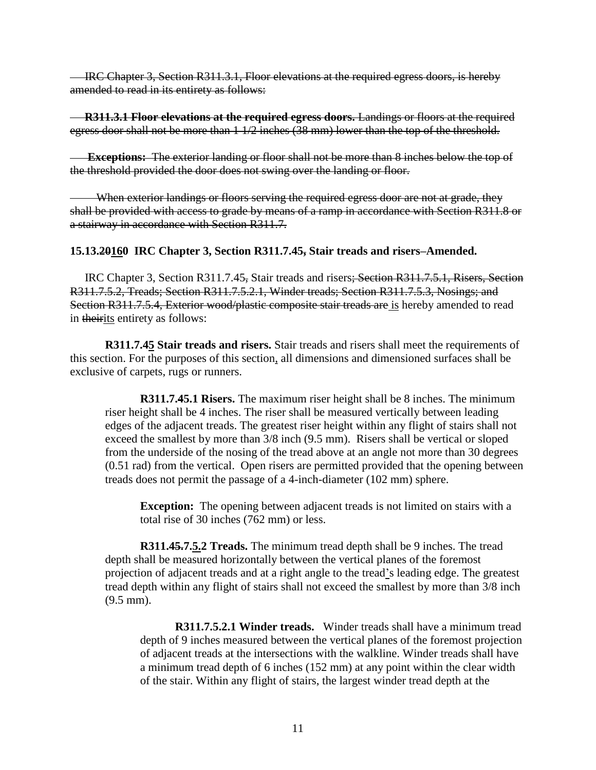IRC Chapter 3, Section R311.3.1, Floor elevations at the required egress doors, is hereby amended to read in its entirety as follows:

 **R311.3.1 Floor elevations at the required egress doors.** Landings or floors at the required egress door shall not be more than 1 1/2 inches (38 mm) lower than the top of the threshold.

 **Exceptions:** The exterior landing or floor shall not be more than 8 inches below the top of the threshold provided the door does not swing over the landing or floor.

When exterior landings or floors serving the required egress door are not at grade, they shall be provided with access to grade by means of a ramp in accordance with Section R311.8 or a stairway in accordance with Section R311.7.

#### **15.13.20160 IRC Chapter 3, Section R311.7.45, Stair treads and risers–Amended.**

 IRC Chapter 3, Section R311.7.45, Stair treads and risers; Section R311.7.5.1, Risers, Section R311.7.5.2, Treads; Section R311.7.5.2.1, Winder treads; Section R311.7.5.3, Nosings; and Section R311.7.5.4, Exterior wood/plastic composite stair treads are is hereby amended to read in theirits entirety as follows:

**R311.7.45 Stair treads and risers.** Stair treads and risers shall meet the requirements of this section. For the purposes of this section, all dimensions and dimensioned surfaces shall be exclusive of carpets, rugs or runners.

**R311.7.45.1 Risers.** The maximum riser height shall be 8 inches. The minimum riser height shall be 4 inches. The riser shall be measured vertically between leading edges of the adjacent treads. The greatest riser height within any flight of stairs shall not exceed the smallest by more than 3/8 inch (9.5 mm). Risers shall be vertical or sloped from the underside of the nosing of the tread above at an angle not more than 30 degrees (0.51 rad) from the vertical. Open risers are permitted provided that the opening between treads does not permit the passage of a 4-inch-diameter (102 mm) sphere.

**Exception:** The opening between adjacent treads is not limited on stairs with a total rise of 30 inches (762 mm) or less.

**R311.45.7.5.2 Treads.** The minimum tread depth shall be 9 inches. The tread depth shall be measured horizontally between the vertical planes of the foremost projection of adjacent treads and at a right angle to the tread's leading edge. The greatest tread depth within any flight of stairs shall not exceed the smallest by more than 3/8 inch (9.5 mm).

**R311.7.5.2.1 Winder treads.** Winder treads shall have a minimum tread depth of 9 inches measured between the vertical planes of the foremost projection of adjacent treads at the intersections with the walkline. Winder treads shall have a minimum tread depth of 6 inches (152 mm) at any point within the clear width of the stair. Within any flight of stairs, the largest winder tread depth at the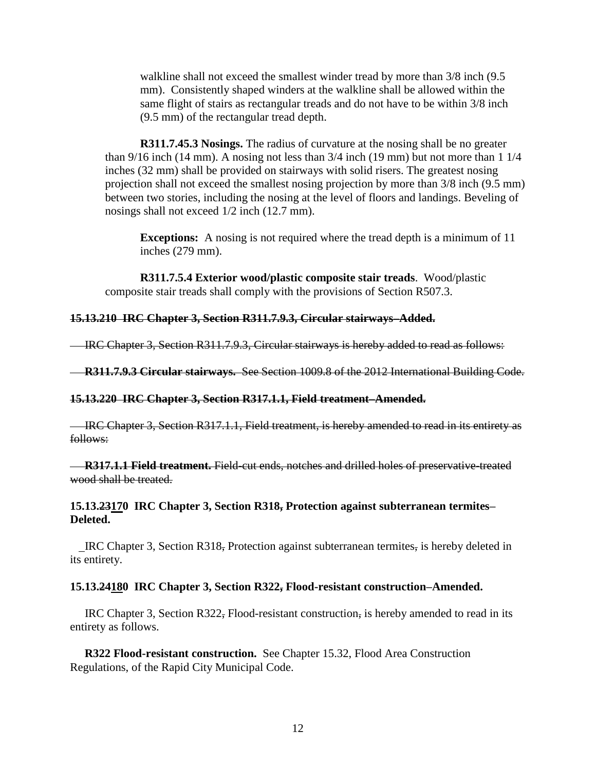walkline shall not exceed the smallest winder tread by more than  $3/8$  inch (9.5) mm). Consistently shaped winders at the walkline shall be allowed within the same flight of stairs as rectangular treads and do not have to be within 3/8 inch (9.5 mm) of the rectangular tread depth.

**R311.7.45.3 Nosings.** The radius of curvature at the nosing shall be no greater than 9/16 inch (14 mm). A nosing not less than 3/4 inch (19 mm) but not more than 1 1/4 inches (32 mm) shall be provided on stairways with solid risers. The greatest nosing projection shall not exceed the smallest nosing projection by more than 3/8 inch (9.5 mm) between two stories, including the nosing at the level of floors and landings. Beveling of nosings shall not exceed 1/2 inch (12.7 mm).

**Exceptions:** A nosing is not required where the tread depth is a minimum of 11 inches (279 mm).

**R311.7.5.4 Exterior wood/plastic composite stair treads**. Wood/plastic composite stair treads shall comply with the provisions of Section R507.3.

## **15.13.210 IRC Chapter 3, Section R311.7.9.3, Circular stairways–Added.**

IRC Chapter 3, Section R311.7.9.3, Circular stairways is hereby added to read as follows:

**R311.7.9.3 Circular stairways.** See Section 1009.8 of the 2012 International Building Code.

#### **15.13.220 IRC Chapter 3, Section R317.1.1, Field treatment–Amended.**

 IRC Chapter 3, Section R317.1.1, Field treatment, is hereby amended to read in its entirety as follows:

**R317.1.1 Field treatment.** Field-cut ends, notches and drilled holes of preservative-treated wood shall be treated.

## **15.13.23170 IRC Chapter 3, Section R318, Protection against subterranean termites– Deleted.**

 IRC Chapter 3, Section R318, Protection against subterranean termites, is hereby deleted in its entirety.

#### **15.13.24180 IRC Chapter 3, Section R322, Flood-resistant construction–Amended.**

 IRC Chapter 3, Section R322, Flood-resistant construction, is hereby amended to read in its entirety as follows.

 **R322 Flood-resistant construction.** See Chapter 15.32, Flood Area Construction Regulations, of the Rapid City Municipal Code.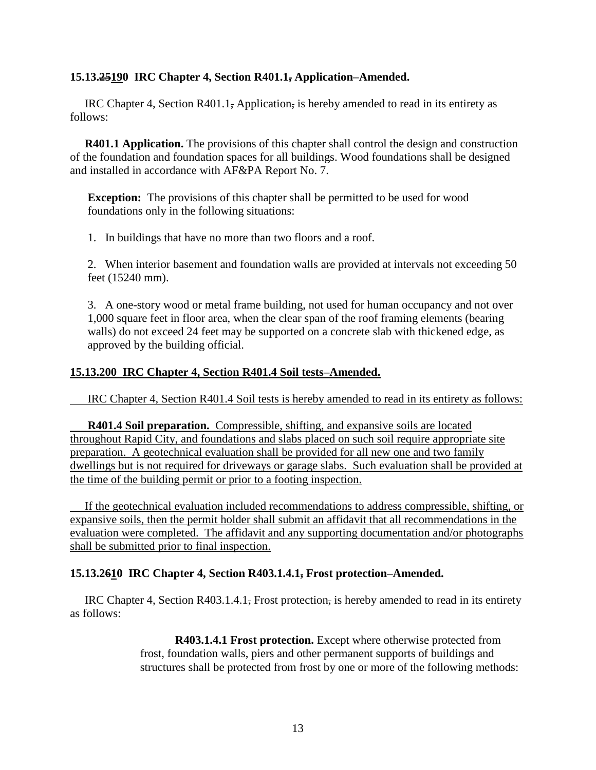## **15.13.25190 IRC Chapter 4, Section R401.1, Application–Amended.**

IRC Chapter 4, Section R401.1, Application, is hereby amended to read in its entirety as follows:

**R401.1 Application.** The provisions of this chapter shall control the design and construction of the foundation and foundation spaces for all buildings. Wood foundations shall be designed and installed in accordance with AF&PA Report No. 7.

**Exception:** The provisions of this chapter shall be permitted to be used for wood foundations only in the following situations:

1. In buildings that have no more than two floors and a roof.

2. When interior basement and foundation walls are provided at intervals not exceeding 50 feet (15240 mm).

3. A one-story wood or metal frame building, not used for human occupancy and not over 1,000 square feet in floor area, when the clear span of the roof framing elements (bearing walls) do not exceed 24 feet may be supported on a concrete slab with thickened edge, as approved by the building official.

## **15.13.200 IRC Chapter 4, Section R401.4 Soil tests–Amended.**

IRC Chapter 4, Section R401.4 Soil tests is hereby amended to read in its entirety as follows:

**R401.4 Soil preparation.** Compressible, shifting, and expansive soils are located throughout Rapid City, and foundations and slabs placed on such soil require appropriate site preparation. A geotechnical evaluation shall be provided for all new one and two family dwellings but is not required for driveways or garage slabs. Such evaluation shall be provided at the time of the building permit or prior to a footing inspection.

 If the geotechnical evaluation included recommendations to address compressible, shifting, or expansive soils, then the permit holder shall submit an affidavit that all recommendations in the evaluation were completed. The affidavit and any supporting documentation and/or photographs shall be submitted prior to final inspection.

#### **15.13.2610 IRC Chapter 4, Section R403.1.4.1, Frost protection–Amended.**

IRC Chapter 4, Section R403.1.4.1, Frost protection, is hereby amended to read in its entirety as follows:

> **R403.1.4.1 Frost protection.** Except where otherwise protected from frost, foundation walls, piers and other permanent supports of buildings and structures shall be protected from frost by one or more of the following methods: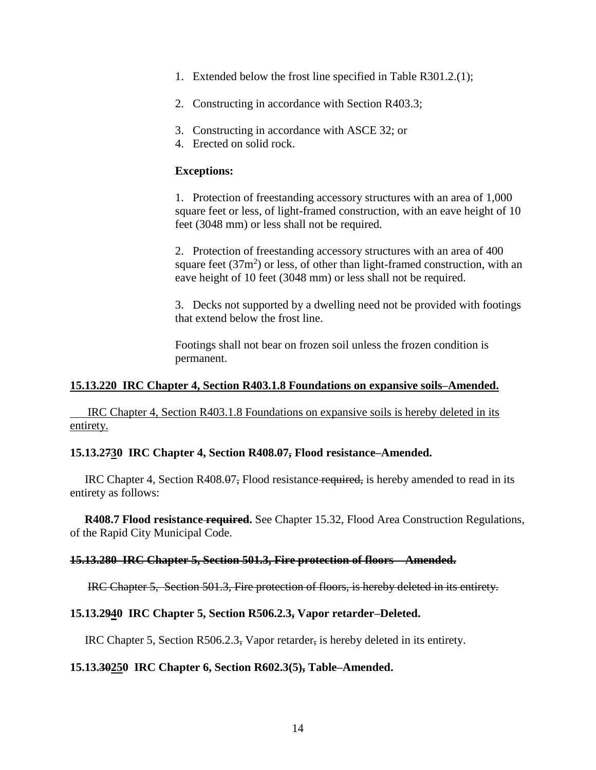- 1. Extended below the frost line specified in Table R301.2.(1);
- 2. Constructing in accordance with Section R403.3;
- 3. Constructing in accordance with ASCE 32; or
- 4. Erected on solid rock.

#### **Exceptions:**

1. Protection of freestanding accessory structures with an area of 1,000 square feet or less, of light-framed construction, with an eave height of 10 feet (3048 mm) or less shall not be required.

2. Protection of freestanding accessory structures with an area of 400 square feet  $(37m^2)$  or less, of other than light-framed construction, with an eave height of 10 feet (3048 mm) or less shall not be required.

3. Decks not supported by a dwelling need not be provided with footings that extend below the frost line.

Footings shall not bear on frozen soil unless the frozen condition is permanent.

#### **15.13.220 IRC Chapter 4, Section R403.1.8 Foundations on expansive soils–Amended.**

IRC Chapter 4, Section R403.1.8 Foundations on expansive soils is hereby deleted in its entirety.

#### **15.13.2730 IRC Chapter 4, Section R408.07, Flood resistance–Amended.**

 IRC Chapter 4, Section R408.07, Flood resistance required, is hereby amended to read in its entirety as follows:

 **R408.7 Flood resistance required.** See Chapter 15.32, Flood Area Construction Regulations, of the Rapid City Municipal Code.

#### **15.13.280 IRC Chapter 5, Section 501.3, Fire protection of floors – Amended.**

IRC Chapter 5, Section 501.3, Fire protection of floors, is hereby deleted in its entirety.

#### **15.13.2940 IRC Chapter 5, Section R506.2.3, Vapor retarder–Deleted.**

IRC Chapter 5, Section R506.2.3, Vapor retarder, is hereby deleted in its entirety.

#### **15.13.30250 IRC Chapter 6, Section R602.3(5), Table–Amended.**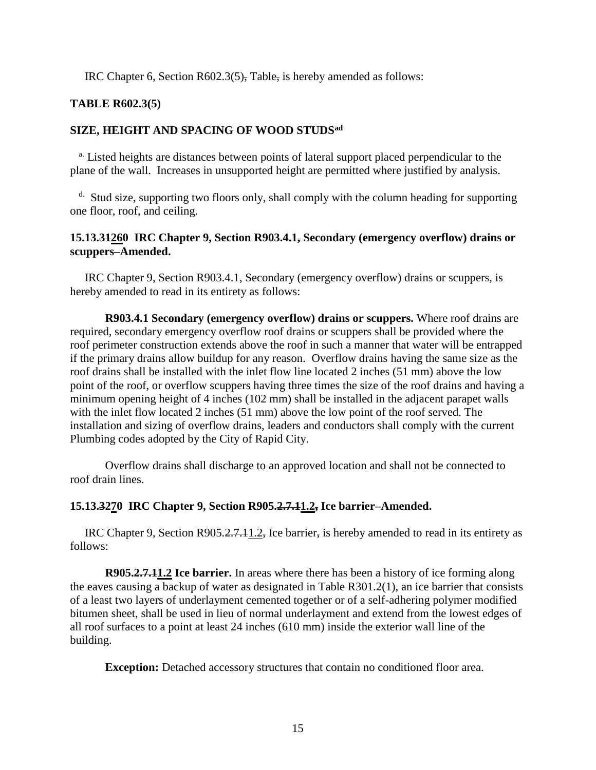IRC Chapter 6, Section R602.3(5), Table, is hereby amended as follows:

## **TABLE R602.3(5)**

### **SIZE, HEIGHT AND SPACING OF WOOD STUDSad**

<sup>a.</sup> Listed heights are distances between points of lateral support placed perpendicular to the plane of the wall. Increases in unsupported height are permitted where justified by analysis.

<sup>d.</sup> Stud size, supporting two floors only, shall comply with the column heading for supporting one floor, roof, and ceiling.

### **15.13.31260 IRC Chapter 9, Section R903.4.1, Secondary (emergency overflow) drains or scuppers–Amended.**

 IRC Chapter 9, Section R903.4.1, Secondary (emergency overflow) drains or scuppers, is hereby amended to read in its entirety as follows:

**R903.4.1 Secondary (emergency overflow) drains or scuppers.** Where roof drains are required, secondary emergency overflow roof drains or scuppers shall be provided where the roof perimeter construction extends above the roof in such a manner that water will be entrapped if the primary drains allow buildup for any reason. Overflow drains having the same size as the roof drains shall be installed with the inlet flow line located 2 inches (51 mm) above the low point of the roof, or overflow scuppers having three times the size of the roof drains and having a minimum opening height of 4 inches (102 mm) shall be installed in the adjacent parapet walls with the inlet flow located 2 inches (51 mm) above the low point of the roof served. The installation and sizing of overflow drains, leaders and conductors shall comply with the current Plumbing codes adopted by the City of Rapid City.

Overflow drains shall discharge to an approved location and shall not be connected to roof drain lines.

#### **15.13.3270 IRC Chapter 9, Section R905.2.7.11.2, Ice barrier–Amended.**

 IRC Chapter 9, Section R905.2.7.11.2, Ice barrier, is hereby amended to read in its entirety as follows:

**R905.2.7.11.2 Ice barrier.** In areas where there has been a history of ice forming along the eaves causing a backup of water as designated in Table R301.2(1), an ice barrier that consists of a least two layers of underlayment cemented together or of a self-adhering polymer modified bitumen sheet, shall be used in lieu of normal underlayment and extend from the lowest edges of all roof surfaces to a point at least 24 inches (610 mm) inside the exterior wall line of the building.

**Exception:** Detached accessory structures that contain no conditioned floor area.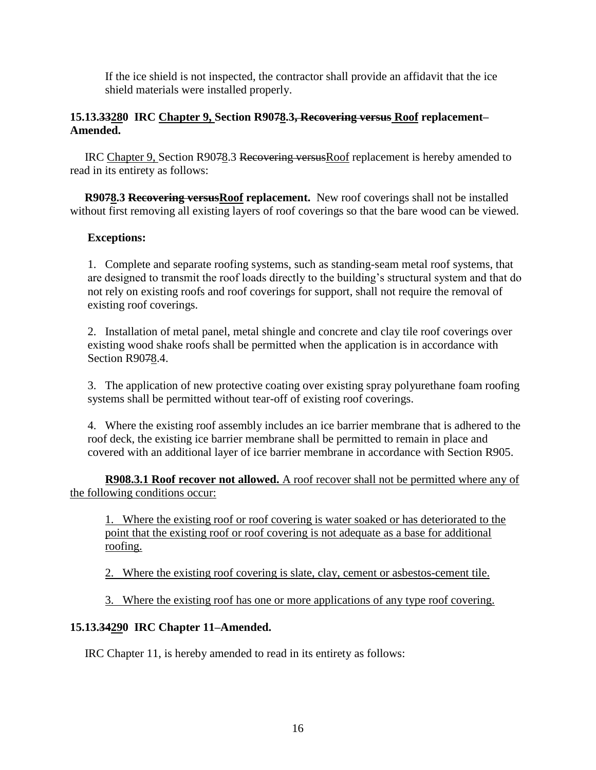If the ice shield is not inspected, the contractor shall provide an affidavit that the ice shield materials were installed properly.

## **15.13.33280 IRC Chapter 9, Section R9078.3, Recovering versus Roof replacement– Amended.**

 IRC Chapter 9, Section R9078.3 Recovering versusRoof replacement is hereby amended to read in its entirety as follows:

**R9078.3 Recovering versus Roof replacement.** New roof coverings shall not be installed without first removing all existing layers of roof coverings so that the bare wood can be viewed.

## **Exceptions:**

1. Complete and separate roofing systems, such as standing-seam metal roof systems, that are designed to transmit the roof loads directly to the building's structural system and that do not rely on existing roofs and roof coverings for support, shall not require the removal of existing roof coverings.

2. Installation of metal panel, metal shingle and concrete and clay tile roof coverings over existing wood shake roofs shall be permitted when the application is in accordance with Section R9078.4.

3. The application of new protective coating over existing spray polyurethane foam roofing systems shall be permitted without tear-off of existing roof coverings.

4. Where the existing roof assembly includes an ice barrier membrane that is adhered to the roof deck, the existing ice barrier membrane shall be permitted to remain in place and covered with an additional layer of ice barrier membrane in accordance with Section R905.

**R908.3.1 Roof recover not allowed.** A roof recover shall not be permitted where any of the following conditions occur:

1. Where the existing roof or roof covering is water soaked or has deteriorated to the point that the existing roof or roof covering is not adequate as a base for additional roofing.

2. Where the existing roof covering is slate, clay, cement or asbestos-cement tile.

3. Where the existing roof has one or more applications of any type roof covering.

## **15.13.34290 IRC Chapter 11–Amended.**

IRC Chapter 11, is hereby amended to read in its entirety as follows: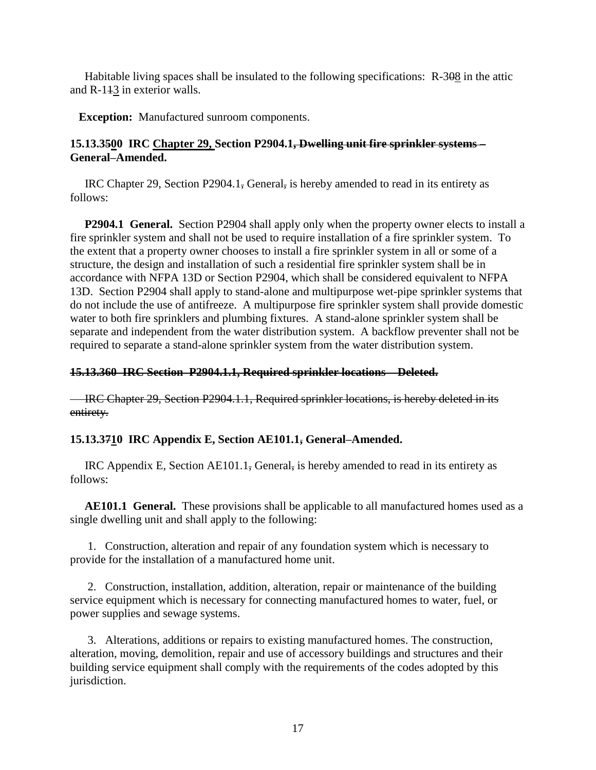Habitable living spaces shall be insulated to the following specifications: R-308 in the attic and R-113 in exterior walls.

**Exception:** Manufactured sunroom components.

## **15.13.3500 IRC Chapter 29, Section P2904.1, Dwelling unit fire sprinkler systems – General–Amended.**

 IRC Chapter 29, Section P2904.1, General, is hereby amended to read in its entirety as follows:

 **P2904.1 General.** Section P2904 shall apply only when the property owner elects to install a fire sprinkler system and shall not be used to require installation of a fire sprinkler system. To the extent that a property owner chooses to install a fire sprinkler system in all or some of a structure, the design and installation of such a residential fire sprinkler system shall be in accordance with NFPA 13D or Section P2904, which shall be considered equivalent to NFPA 13D. Section P2904 shall apply to stand-alone and multipurpose wet-pipe sprinkler systems that do not include the use of antifreeze. A multipurpose fire sprinkler system shall provide domestic water to both fire sprinklers and plumbing fixtures. A stand-alone sprinkler system shall be separate and independent from the water distribution system. A backflow preventer shall not be required to separate a stand-alone sprinkler system from the water distribution system.

## **15.13.360 IRC Section P2904.1.1, Required sprinkler locations – Deleted.**

IRC Chapter 29, Section P2904.1.1, Required sprinkler locations, is hereby deleted in its entirety.

## **15.13.3710 IRC Appendix E, Section AE101.1, General–Amended.**

 IRC Appendix E, Section AE101.1, General, is hereby amended to read in its entirety as follows:

 **AE101.1 General.** These provisions shall be applicable to all manufactured homes used as a single dwelling unit and shall apply to the following:

 1. Construction, alteration and repair of any foundation system which is necessary to provide for the installation of a manufactured home unit.

 2. Construction, installation, addition, alteration, repair or maintenance of the building service equipment which is necessary for connecting manufactured homes to water, fuel, or power supplies and sewage systems.

 3. Alterations, additions or repairs to existing manufactured homes. The construction, alteration, moving, demolition, repair and use of accessory buildings and structures and their building service equipment shall comply with the requirements of the codes adopted by this jurisdiction.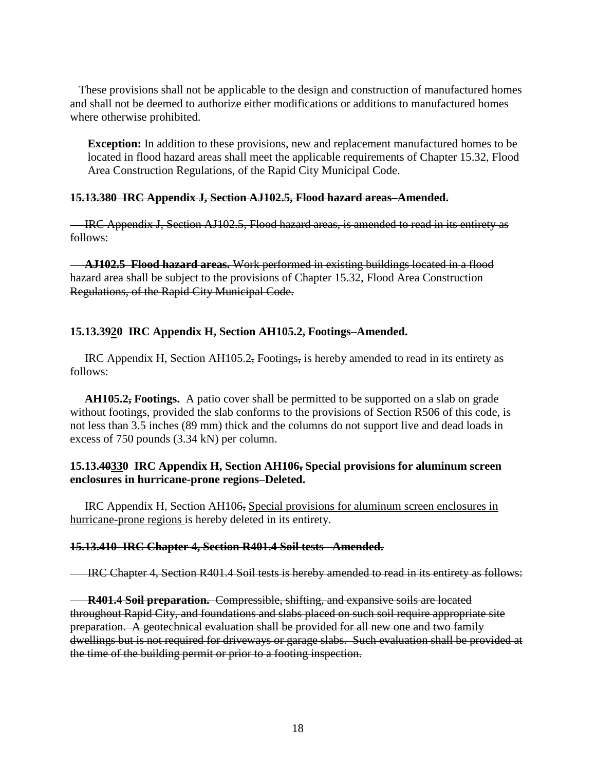These provisions shall not be applicable to the design and construction of manufactured homes and shall not be deemed to authorize either modifications or additions to manufactured homes where otherwise prohibited.

**Exception:** In addition to these provisions, new and replacement manufactured homes to be located in flood hazard areas shall meet the applicable requirements of Chapter 15.32, Flood Area Construction Regulations, of the Rapid City Municipal Code.

#### **15.13.380 IRC Appendix J, Section AJ102.5, Flood hazard areas–Amended.**

IRC Appendix J, Section AJ102.5, Flood hazard areas, is amended to read in its entirety as follows:

 **AJ102.5 Flood hazard areas.** Work performed in existing buildings located in a flood hazard area shall be subject to the provisions of Chapter 15.32, Flood Area Construction Regulations, of the Rapid City Municipal Code.

#### **15.13.3920 IRC Appendix H, Section AH105.2, Footings–Amended.**

 IRC Appendix H, Section AH105.2, Footings, is hereby amended to read in its entirety as follows:

 **AH105.2, Footings.** A patio cover shall be permitted to be supported on a slab on grade without footings, provided the slab conforms to the provisions of Section R506 of this code, is not less than 3.5 inches (89 mm) thick and the columns do not support live and dead loads in excess of 750 pounds (3.34 kN) per column.

## **15.13.40330 IRC Appendix H, Section AH106, Special provisions for aluminum screen enclosures in hurricane-prone regions–Deleted.**

 IRC Appendix H, Section AH106, Special provisions for aluminum screen enclosures in hurricane-prone regions is hereby deleted in its entirety.

#### **15.13.410 IRC Chapter 4, Section R401.4 Soil tests –Amended.**

IRC Chapter 4, Section R401.4 Soil tests is hereby amended to read in its entirety as follows:

**R401.4 Soil preparation.** Compressible, shifting, and expansive soils are located throughout Rapid City, and foundations and slabs placed on such soil require appropriate site preparation. A geotechnical evaluation shall be provided for all new one and two family dwellings but is not required for driveways or garage slabs. Such evaluation shall be provided at the time of the building permit or prior to a footing inspection.